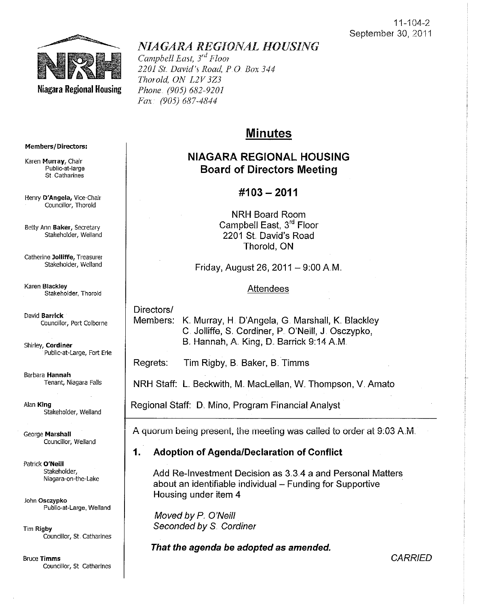**CARRIED** 



# *NIAGARA REGIONAL HOUSING*

*Campbell East, 3<sup>rd</sup> Floor 2201* Sf. *David's Road, PO Box 344 Thorold, ON L2V3Z3 Phone. (905) 682-9201 Fax· (905) 687-4844* 

# Minutes

# NIAGARA REGIONAL HOUSING Board of Directors Meeting

# $\#103 - 2011$

NRH Board Room Campbell East, 3<sup>rd</sup> Floor 2201 St David's Road Thorold, ON

Friday, August 26, 2011 - 9:00 A.M.

### **Attendees**

Directors/

Members: K. Murray, H. D'Angela, G. Marshall, K. Blackley C. Jolliffe, S. Cordiner, P. O'Neill, J. Osczypko, B. Hannah, A. King, D. Barrick 9:14 A.M.

Regrets: Tim Rigby, B. Baker, B. Timms

NRH Staff: L Beckwith, M.. Maclellan, W. Thompson, V. Amato

Regional Staff: D. Mino, Program Financial Analyst

A quorum being present, the meeting was caiied to order at 9:03 AM.

# 1. Adoption of AgendalDeclaration of Conflict

Add Re-Investment Decision as 3.3.4 a and Personal Matters about an identifiable individual - Funding for Supportive Housing under item 4

Moved by P. O'Neill Seconded by S. Cordiner

That the agenda be adopted as amended.

Members/Directors:

Karen Murray, Chair Public-at-Iarge st. Catharines

Henry D'Angela, Vice-Chair Councillor, Thorold

Betty Ann Baker, Secretary Stakeholder, Weiland

Catherine Jolliffe, Treasurer Stakeholder, Weiland

Karen Blackley Stakeholder, Thorold

David Barrick Councillor, Port Colborne Shirley, Cordiner Public-at-Large, Fort Erie

Barbara Hannah Tenant, Niagara Falls

Alan King Stakeholder, Weiland

George Marshall Councillor, Welland

Patrick O'Neill Stakeholder, Niagara-on-the-Lake

John Osczypko Public-at-Large, Weiland

Tim Rigby Councillor, St. Catharines

Bruce Timms Councillor, St Catharines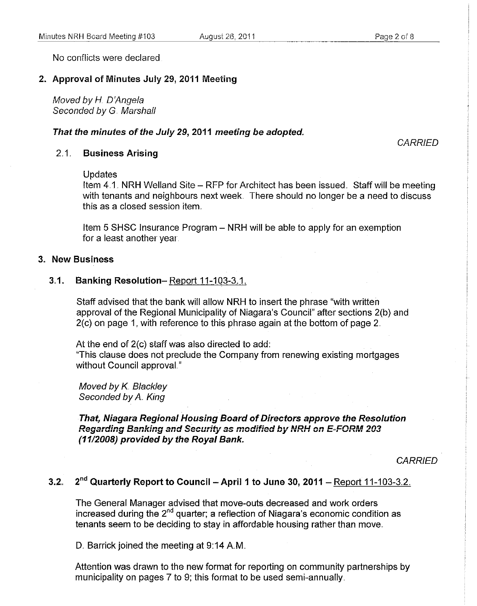No conflicts were declared

### 2. Approval of Minutes July 29, 2011 Meeting

Moved by H. O'Angela Seconded by G. Marshall

#### That the minutes of the July 29, 2011 meeting be adopted.

**CARRIED** 

### 2.1 Business Arising

#### Updates

Item  $4.1$ , NRH Welland Site – RFP for Architect has been issued. Staff will be meeting with tenants and neighbours next week. There should no longer be a need to discuss this as a closed session item.

Item 5 SHSC Insurance Program - NRH will be able to apply for an exemption for a least another year,

### 3" New Business

### 3.1. Banking Resolution-Report 11-103-3.1.

Staff advised that the bank will allow NRH to insert the phrase "with written approval of the Regional Municipality of Niagara's Council" after sections 2(b) and  $2(c)$  on page 1, with reference to this phrase again at the bottom of page 2.

At the end of 2(c) staff was also directed to add:

"This clause does not preclude the Company from renewing existing mortgages without Council approvaL"

Moved by K. Blackley Seconded by A. King

### That, Niagara Regional Housing Board of Directors approve the Resolution **Regarding Banking and Security as modified by NRH on E-FORM 203** (1112008) provided by the Royal Bank.

**CARRIED** 

# 3.2.  $2<sup>nd</sup>$  Quarterly Report to Council - April 1 to June 30, 2011 - Report 11-103-3.2.

The General Manager advised that move-outs decreased and work orders increased during the  $2<sup>nd</sup>$  quarter; a reflection of Niagara's economic condition as tenants seem to be deciding to stay in affordable housing rather than move.

D. Barrick joined the meeting at 9:14 A.M.

Attention was drawn to the new format for reporting on community partnerships by municipality on pages 7 to 9; this format to be used semi-annually,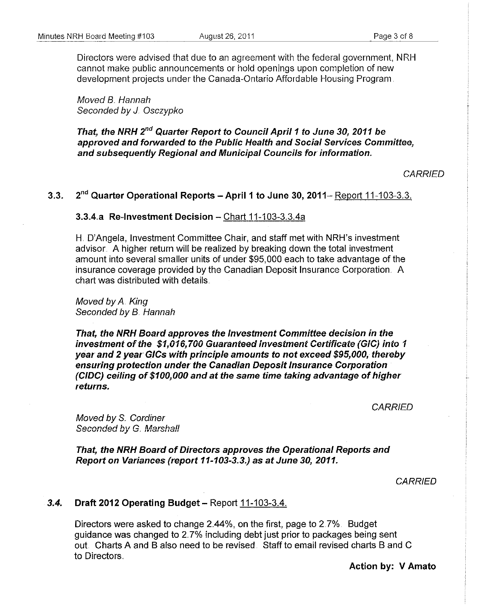Directors were advised that due to an agreement with the federal government, NRH cannot make public announcements or hold openings upon completion of new development projects under the Canada-Ontario Affordable Housing Program.

Moved B. Hannah Seconded by J. Osczypko

That, the NRH 2<sup>nd</sup> Quarter Report to Council April 1 to June 30, 2011 be approved and forwarded to the Public Health and Social Services Committee, and subsequently Regional and Municipal Councils for information..

CARRIED

## 3.3.  $2<sup>nd</sup>$  Quarter Operational Reports – April 1 to June 30, 2011– Report 11-103-3.3.

#### 3.3.4.a Re-investment Decision - Chart  $11-103-3.3.4a$

H. D'Angela, Investment Committee Chair, and staff met with NRH's investment advisor. A higher return will be realized by breaking down the total investment amount into several smaller units of under \$95,000 each to take advantage of the insurance coverage provided by the Canadian Deposit Insurance Corporation .. A chart was distributed with details ..

Moved by A. King Seconded by B. Hannah

That, the NRH Board approves the Investment Committee decision in the investment of the \$1,016,700 Guaranteed Investment Certificate (GIC) into 1 year and 2 year GICs with principle amounts to not exceed \$95,000, thereby ensuring protection under the Canadian Deposit Insurance Corporation (CIDC) ceiling of \$100,000 and at the same time taking advantage of higher returns.

**CARRIED** 

Moved by S. Cordiner **Seconded by G. Marshall** 

That, the NRH Board of Directors approves the Operational Reports and Report on Variances (report 11-103-3.3.) as at June 30, 2011.

**CARRIED** 

### 3.4. Draft 2012 Operating Budget - Report 11-103-3.4.

Directors were asked to change 2.44%, on the first, page to 2.7%. Budget guidance was changed to 2.7% including debt just prior to packages being sent out Charts A and B also need to be revised. Staff to email revised charts Band C to Directors.

Action by: V Amato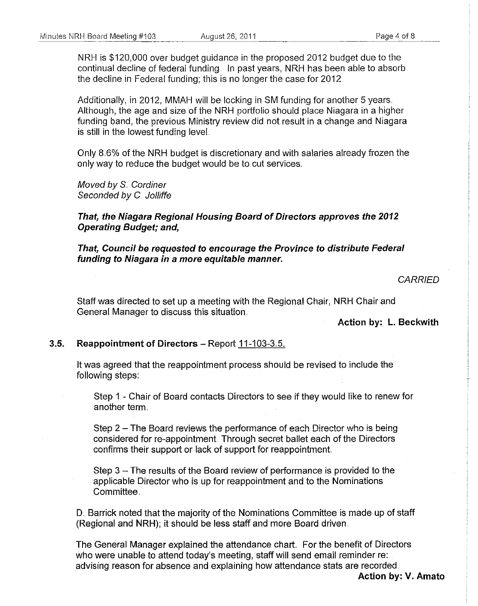NRH is \$120,000 over budget guidance in the proposed 2012 budget due to the continual decline of federal funding. In past years, NRH has been able to absorb the decline in Federal funding; this is no longer the case for 2012.

Additionally, in 2012, MMAH will be locking in SM funding for another 5 years .. Although, the age and size of the NRH portfolio should place Niagara in a higher funding band, the previous Ministry review did not result in a change and Niagara is still in the lowest funding leveL

Only 8.6% of the NRH budget is discretionary and with salaries already frozen the only way to reduce the budget would be to cut services ..

Moved by S. Cordiner Seconded by C. Jolliffe

**That, the Niagara Regional Housing Board of Directors approves the 2012 Operating Budget; and,** 

**That, Council be requested to encourage the Province to distribute Federal funding to Niagara in a more equitable manner;** 

#### **CARRIED**

Staff was directed to set up a meeting with the Regional Chair, NRH Chair and General Manager to discuss this situation ..

**Action by: L. Beckwith** 

### **3.5. Reappointment of Directors -** Report 11-103-3.5.

It was agreed that the reappointment process should be revised to include the following steps:

Step 1 - Chair of Board contacts Directors to see if they would like to renew for another term.

**Step 2 - The Board reviews the performance of each Director who is being** considered for re-appointment. Through secret ballet each of the Directors confirms their support or lack of support for reappointment

Step  $3 -$  The results of the Board review of performance is provided to the applicable Director who is up for reappointment and to the Nominations Committee.

D. Barrick noted that the majority of the Nominations Committee is made up of staff (Regional and NRH); it should be less staff and more Board driven.

The General Manager explained the attendance chart. For the benefit of Directors who were unable to attend today's meeting, staff will send email reminder re: advising reason for absence and explaining how attendance stats are recorded.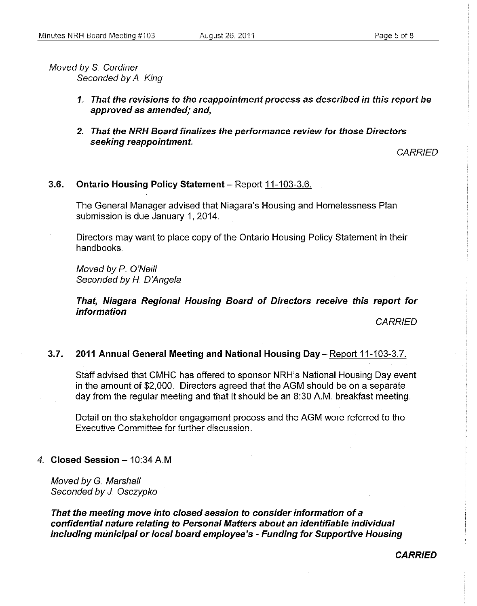Moved by S. Cordiner Seconded by A. King

- *1.,* That the revisions to the reappointment process as described in this report be approved as amended; and,
- 2. That the NRH Board finalizes the performance review for those Directors seeking reappointment

**CARRIED** 

3.6. Ontario Housing Policy Statement - Report 11-103-3.6.

The General Manager advised that Niagara's Housing and Homelessness Plan submission is due January 1, 2014.

Directors may want to place copy of the Ontario Housing Policy Statement in their handbooks.

Moved by P. O'Neill Seconded by H. D'Angela

That, Niagara Regional Housing Board of Directors receive this report for information

**CARRIED** 

#### 3.7. 2011 Annual General Meeting and National Housing Day - Report 11-103-3.7.

Staff advised that CMHC has offered to sponsor NRH's National Housing Day event in the amount of \$2,000, Directors agreed that the AGM should be on a separate day from the regular meeting and that it should be an  $8:30$  A.M, breakfast meeting.

Detail on the stakeholder engagement process and the AGM were referred to the **Executive Committee for further discussion.** 

#### 4. Closed Session  $-10:34$  A.M

Moved by G, Marshall Seconded by J Osczypko

That the meeting move into closed session to consider information of a confidential nature relating to Personal Matters about an identifiable individual including municipal or local board employee's - Funding for Supportive Housing

CARRIED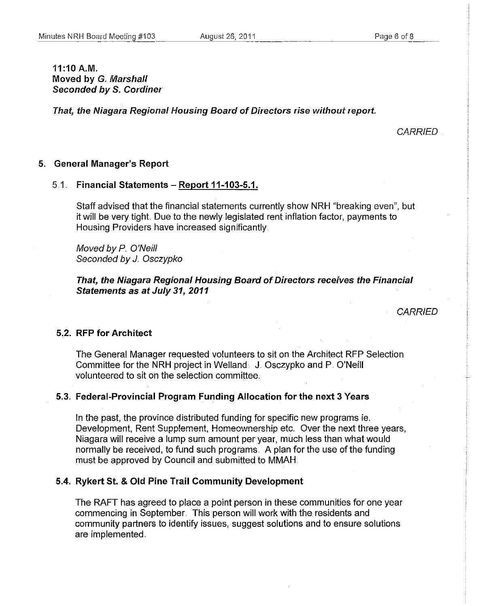$11:10 A.M.$ Moved by G. Marshall Seconded by S. Cordiner

That, the Niagara Regional Housing Board of Directors rise without report

**CARRIED** 

### 5. General Manager's Report

### $5.1.$  Financial Statements - Report 11-103-5.1.

Staff advised that the financial statements currently show NRH "breaking even", but it will be very tight. Due to the newly legislated rent inflation factor, payments to Housing Providers have increased significantly,

Moved by P. O'Neill Seconded by *J.* Osczypko

That, the Niagara Regional Housing Board of Directors receives the Financial Statements as at July 31,2011

**CARRIED** 

### 5.2. RFP for Architect

The General Manager requested volunteers to sit on the Architect RFP Selection Committee for the NRH project in Welland. J. Osczypko and P. O'Neill volunteered to sit on the selection committee.,

### 5.3" Federal-Provincial Program Funding Allocation for the next 3 Years

In the past, the province distributed funding for specific new programs ie. **Development, Rent Supplement, Homeownership etc. Over the next three years,** Niagara will receive a lump sum amount per year, much less than what would normally be received, to fund such programs. A plan for the use of the funding must be approved by Council and submitted to MMAH..

### 5.4" Rykert St. & Old Pine Trail Community Development

The RAFT has agreed to place a point person in these communities for one year commencing in September, This person will work with the residents and community partners to identify issues, suggest solutions and to ensure solutions are implemented ..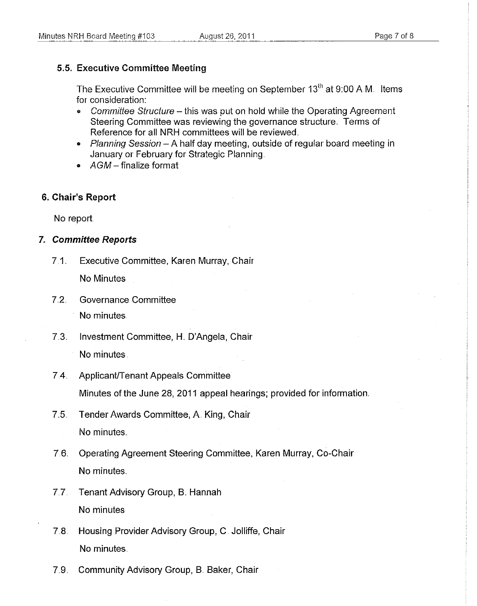### **5.5. Executive Committee Meeting**

The Executive Committee will be meeting on September 13<sup>th</sup> at 9:00 A.M. Items for consideration:

- Committee Structure this was put on hold while the Operating Agreement Steering Committee was reviewing the governance structure. Terms of Reference for all NRH committees will be reviewed.
- Planning Session  $A$  half day meeting, outside of regular board meeting in January or February for Strategic Planning ..
- $AGM$  finalize format

### 6" **Chair's Report**

No report

### 7" **Committee Reports**

7.1.. Executive Committee, Karen Murray, Chair

No Minutes

7.2. Governance Committee

No minutes.

7.3.. Investment Committee, H. O'Angela, Chair

No minutes.

7.4. Applicant/Tenant Appeals Committee

Minutes of the June 28, 2011 appeal hearings; provided for information.

- 7.5. Tender Awards Committee, A. King, Chair No minutes.
- 7.6.. Operating Agreement Steering Committee, Karen Murray, Co-Chair No minutes
- 7.7. Tenant Advisory Group, B. Hannah No minutes
- 7.8. Housing Provider Advisory Group, C. Jolliffe, Chair No minutes.
- 7.9. Community Advisory Group, B. Baker, Chair